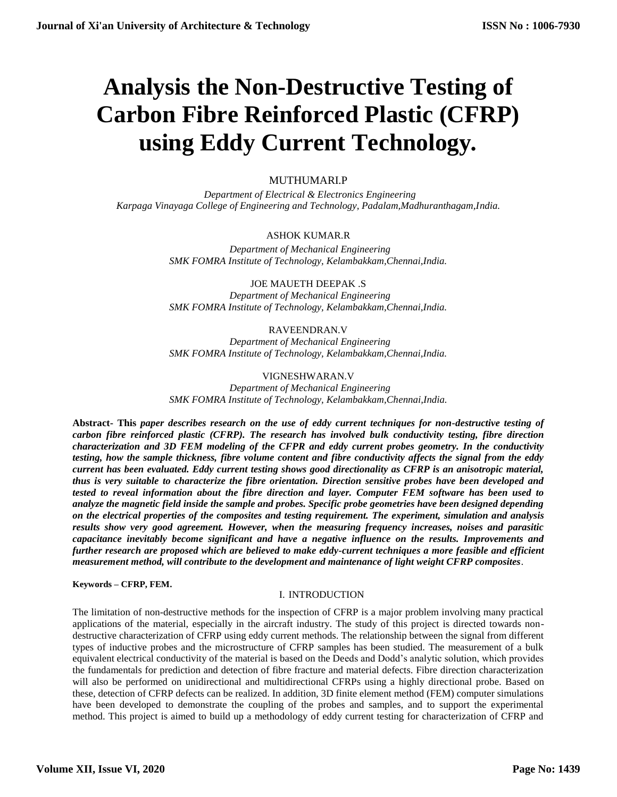# **Analysis the Non-Destructive Testing of Carbon Fibre Reinforced Plastic (CFRP) using Eddy Current Technology***.*

# MUTHUMARI.P

 *Department of Electrical & Electronics Engineering Karpaga Vinayaga College of Engineering and Technology, Padalam,Madhuranthagam,India.*

# ASHOK KUMAR.R

 *Department of Mechanical Engineering SMK FOMRA Institute of Technology, Kelambakkam,Chennai,India.*

JOE MAUETH DEEPAK .S  *Department of Mechanical Engineering SMK FOMRA Institute of Technology, Kelambakkam,Chennai,India.*

# RAVEENDRAN.V

 *Department of Mechanical Engineering SMK FOMRA Institute of Technology, Kelambakkam,Chennai,India.*

# VIGNESHWARAN.V

 *Department of Mechanical Engineering SMK FOMRA Institute of Technology, Kelambakkam,Chennai,India.*

**Abstract- This** *paper describes research on the use of eddy current techniques for non-destructive testing of carbon fibre reinforced plastic (CFRP). The research has involved bulk conductivity testing, fibre direction characterization and 3D FEM modeling of the CFPR and eddy current probes geometry. In the conductivity testing, how the sample thickness, fibre volume content and fibre conductivity affects the signal from the eddy current has been evaluated. Eddy current testing shows good directionality as CFRP is an anisotropic material, thus is very suitable to characterize the fibre orientation. Direction sensitive probes have been developed and tested to reveal information about the fibre direction and layer. Computer FEM software has been used to analyze the magnetic field inside the sample and probes. Specific probe geometries have been designed depending on the electrical properties of the composites and testing requirement. The experiment, simulation and analysis results show very good agreement. However, when the measuring frequency increases, noises and parasitic capacitance inevitably become significant and have a negative influence on the results. Improvements and further research are proposed which are believed to make eddy-current techniques a more feasible and efficient measurement method, will contribute to the development and maintenance of light weight CFRP composites*.

### **Keywords – CFRP, FEM.**

## I. INTRODUCTION

The limitation of non-destructive methods for the inspection of CFRP is a major problem involving many practical applications of the material, especially in the aircraft industry. The study of this project is directed towards nondestructive characterization of CFRP using eddy current methods. The relationship between the signal from different types of inductive probes and the microstructure of CFRP samples has been studied. The measurement of a bulk equivalent electrical conductivity of the material is based on the Deeds and Dodd's analytic solution, which provides the fundamentals for prediction and detection of fibre fracture and material defects. Fibre direction characterization will also be performed on unidirectional and multidirectional CFRPs using a highly directional probe. Based on these, detection of CFRP defects can be realized. In addition, 3D finite element method (FEM) computer simulations have been developed to demonstrate the coupling of the probes and samples, and to support the experimental method. This project is aimed to build up a methodology of eddy current testing for characterization of CFRP and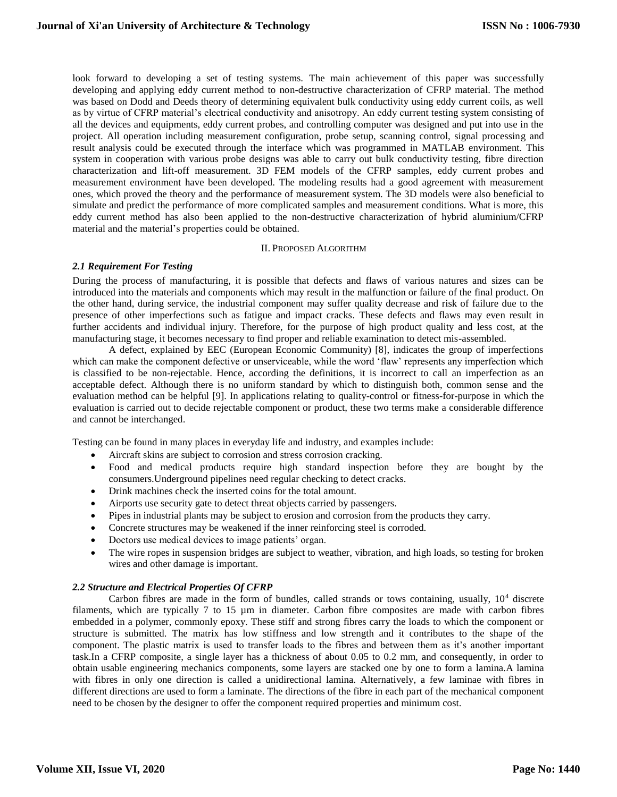look forward to developing a set of testing systems. The main achievement of this paper was successfully developing and applying eddy current method to non-destructive characterization of CFRP material. The method was based on Dodd and Deeds theory of determining equivalent bulk conductivity using eddy current coils, as well as by virtue of CFRP material's electrical conductivity and anisotropy. An eddy current testing system consisting of all the devices and equipments, eddy current probes, and controlling computer was designed and put into use in the project. All operation including measurement configuration, probe setup, scanning control, signal processing and result analysis could be executed through the interface which was programmed in MATLAB environment. This system in cooperation with various probe designs was able to carry out bulk conductivity testing, fibre direction characterization and lift-off measurement. 3D FEM models of the CFRP samples, eddy current probes and measurement environment have been developed. The modeling results had a good agreement with measurement ones, which proved the theory and the performance of measurement system. The 3D models were also beneficial to simulate and predict the performance of more complicated samples and measurement conditions. What is more, this eddy current method has also been applied to the non-destructive characterization of hybrid aluminium/CFRP material and the material's properties could be obtained.

#### II. PROPOSED ALGORITHM

## *2.1 Requirement For Testing*

During the process of manufacturing, it is possible that defects and flaws of various natures and sizes can be introduced into the materials and components which may result in the malfunction or failure of the final product. On the other hand, during service, the industrial component may suffer quality decrease and risk of failure due to the presence of other imperfections such as fatigue and impact cracks. These defects and flaws may even result in further accidents and individual injury. Therefore, for the purpose of high product quality and less cost, at the manufacturing stage, it becomes necessary to find proper and reliable examination to detect mis-assembled.

A defect, explained by EEC (European Economic Community) [8], indicates the group of imperfections which can make the component defective or unserviceable, while the word 'flaw' represents any imperfection which is classified to be non-rejectable. Hence, according the definitions, it is incorrect to call an imperfection as an acceptable defect. Although there is no uniform standard by which to distinguish both, common sense and the evaluation method can be helpful [9]. In applications relating to quality-control or fitness-for-purpose in which the evaluation is carried out to decide rejectable component or product, these two terms make a considerable difference and cannot be interchanged.

Testing can be found in many places in everyday life and industry, and examples include:

- Aircraft skins are subject to corrosion and stress corrosion cracking.
- Food and medical products require high standard inspection before they are bought by the consumers.Underground pipelines need regular checking to detect cracks.
- Drink machines check the inserted coins for the total amount.
- Airports use security gate to detect threat objects carried by passengers.
- Pipes in industrial plants may be subject to erosion and corrosion from the products they carry.
- Concrete structures may be weakened if the inner reinforcing steel is corroded.
- Doctors use medical devices to image patients' organ.
- The wire ropes in suspension bridges are subject to weather, vibration, and high loads, so testing for broken wires and other damage is important.

## *2.2 Structure and Electrical Properties Of CFRP*

Carbon fibres are made in the form of bundles, called strands or tows containing, usually,  $10<sup>4</sup>$  discrete filaments, which are typically 7 to 15 µm in diameter. Carbon fibre composites are made with carbon fibres embedded in a polymer, commonly epoxy. These stiff and strong fibres carry the loads to which the component or structure is submitted. The matrix has low stiffness and low strength and it contributes to the shape of the component. The plastic matrix is used to transfer loads to the fibres and between them as it's another important task.In a CFRP composite, a single layer has a thickness of about 0.05 to 0.2 mm, and consequently, in order to obtain usable engineering mechanics components, some layers are stacked one by one to form a lamina.A lamina with fibres in only one direction is called a unidirectional lamina. Alternatively, a few laminae with fibres in different directions are used to form a laminate. The directions of the fibre in each part of the mechanical component need to be chosen by the designer to offer the component required properties and minimum cost.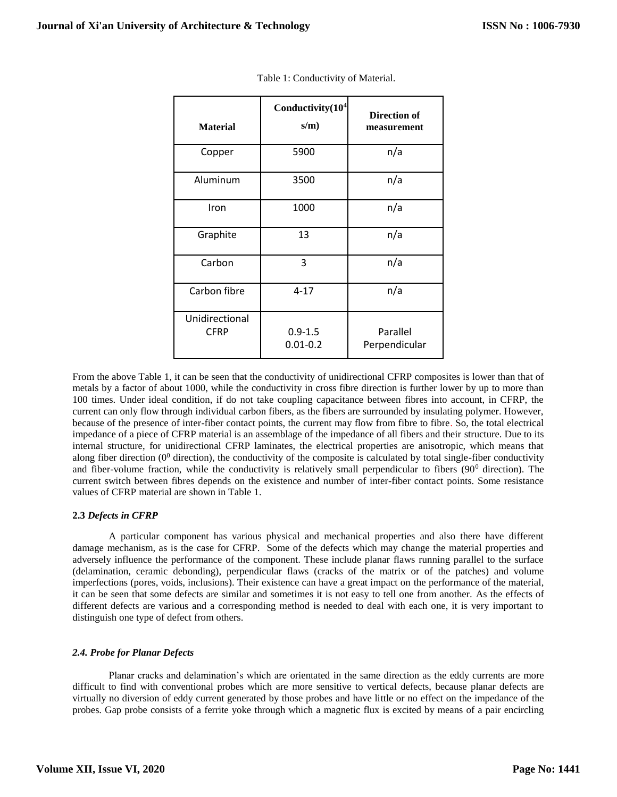| <b>Material</b>               | Conductivity(10 <sup>4</sup><br>$s/m$ ) | Direction of<br>measurement |
|-------------------------------|-----------------------------------------|-----------------------------|
| Copper                        | 5900                                    | n/a                         |
| Aluminum                      | 3500                                    | n/a                         |
| Iron                          | 1000                                    | n/a                         |
| Graphite                      | 13                                      | n/a                         |
| Carbon                        | 3                                       | n/a                         |
| Carbon fibre                  | $4 - 17$                                | n/a                         |
| Unidirectional<br><b>CFRP</b> | $0.9 - 1.5$<br>$0.01 - 0.2$             | Parallel<br>Perpendicular   |

Table 1: Conductivity of Material.

From the above Table 1, it can be seen that the conductivity of unidirectional CFRP composites is lower than that of metals by a factor of about 1000, while the conductivity in cross fibre direction is further lower by up to more than 100 times. Under ideal condition, if do not take coupling capacitance between fibres into account, in CFRP, the current can only flow through individual carbon fibers, as the fibers are surrounded by insulating polymer. However, because of the presence of inter-fiber contact points, the current may flow from fibre to fibre. So, the total electrical impedance of a piece of CFRP material is an assemblage of the impedance of all fibers and their structure. Due to its internal structure, for unidirectional CFRP laminates, the electrical properties are anisotropic, which means that along fiber direction  $(0^0$  direction), the conductivity of the composite is calculated by total single-fiber conductivity and fiber-volume fraction, while the conductivity is relatively small perpendicular to fibers  $(90^{\circ}$  direction). The current switch between fibres depends on the existence and number of inter-fiber contact points. Some resistance values of CFRP material are shown in Table 1.

## **2.3** *Defects in CFRP*

A particular component has various physical and mechanical properties and also there have different damage mechanism, as is the case for CFRP. Some of the defects which may change the material properties and adversely influence the performance of the component. These include planar flaws running parallel to the surface (delamination, ceramic debonding), perpendicular flaws (cracks of the matrix or of the patches) and volume imperfections (pores, voids, inclusions). Their existence can have a great impact on the performance of the material, it can be seen that some defects are similar and sometimes it is not easy to tell one from another. As the effects of different defects are various and a corresponding method is needed to deal with each one, it is very important to distinguish one type of defect from others.

# *2.4. Probe for Planar Defects*

Planar cracks and delamination's which are orientated in the same direction as the eddy currents are more difficult to find with conventional probes which are more sensitive to vertical defects, because planar defects are virtually no diversion of eddy current generated by those probes and have little or no effect on the impedance of the probes. Gap probe consists of a ferrite yoke through which a magnetic flux is excited by means of a pair encircling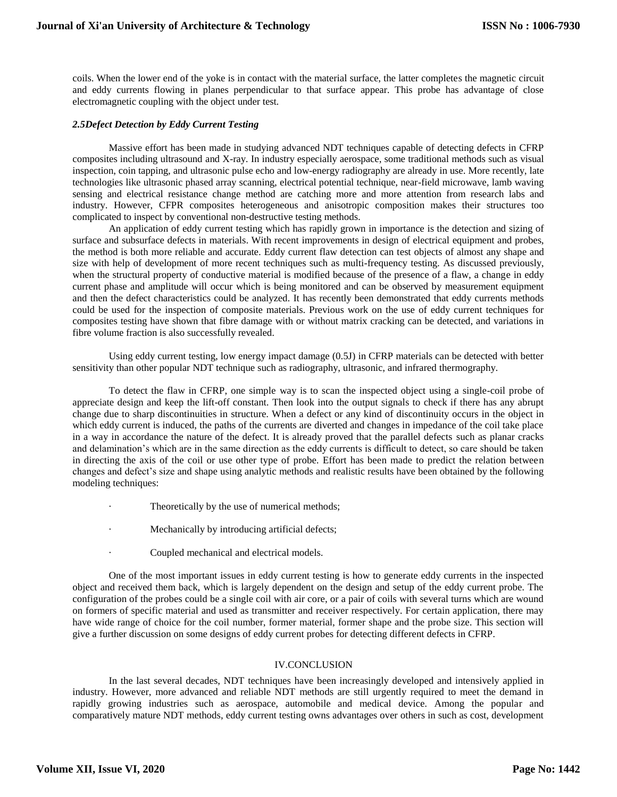coils. When the lower end of the yoke is in contact with the material surface, the latter completes the magnetic circuit and eddy currents flowing in planes perpendicular to that surface appear. This probe has advantage of close electromagnetic coupling with the object under test.

### *2.5Defect Detection by Eddy Current Testing*

Massive effort has been made in studying advanced NDT techniques capable of detecting defects in CFRP composites including ultrasound and X-ray. In industry especially aerospace, some traditional methods such as visual inspection, coin tapping, and ultrasonic pulse echo and low-energy radiography are already in use. More recently, late technologies like ultrasonic phased array scanning, electrical potential technique, near-field microwave, lamb waving sensing and electrical resistance change method are catching more and more attention from research labs and industry. However, CFPR composites heterogeneous and anisotropic composition makes their structures too complicated to inspect by conventional non-destructive testing methods.

An application of eddy current testing which has rapidly grown in importance is the detection and sizing of surface and subsurface defects in materials. With recent improvements in design of electrical equipment and probes, the method is both more reliable and accurate. Eddy current flaw detection can test objects of almost any shape and size with help of development of more recent techniques such as multi-frequency testing. As discussed previously, when the structural property of conductive material is modified because of the presence of a flaw, a change in eddy current phase and amplitude will occur which is being monitored and can be observed by measurement equipment and then the defect characteristics could be analyzed. It has recently been demonstrated that eddy currents methods could be used for the inspection of composite materials. Previous work on the use of eddy current techniques for composites testing have shown that fibre damage with or without matrix cracking can be detected, and variations in fibre volume fraction is also successfully revealed.

Using eddy current testing, low energy impact damage (0.5J) in CFRP materials can be detected with better sensitivity than other popular NDT technique such as radiography, ultrasonic, and infrared thermography.

To detect the flaw in CFRP, one simple way is to scan the inspected object using a single-coil probe of appreciate design and keep the lift-off constant. Then look into the output signals to check if there has any abrupt change due to sharp discontinuities in structure. When a defect or any kind of discontinuity occurs in the object in which eddy current is induced, the paths of the currents are diverted and changes in impedance of the coil take place in a way in accordance the nature of the defect. It is already proved that the parallel defects such as planar cracks and delamination's which are in the same direction as the eddy currents is difficult to detect, so care should be taken in directing the axis of the coil or use other type of probe. Effort has been made to predict the relation between changes and defect's size and shape using analytic methods and realistic results have been obtained by the following modeling techniques:

- Theoretically by the use of numerical methods;
- Mechanically by introducing artificial defects;
- Coupled mechanical and electrical models.

One of the most important issues in eddy current testing is how to generate eddy currents in the inspected object and received them back, which is largely dependent on the design and setup of the eddy current probe. The configuration of the probes could be a single coil with air core, or a pair of coils with several turns which are wound on formers of specific material and used as transmitter and receiver respectively. For certain application, there may have wide range of choice for the coil number, former material, former shape and the probe size. This section will give a further discussion on some designs of eddy current probes for detecting different defects in CFRP.

### IV.CONCLUSION

In the last several decades, NDT techniques have been increasingly developed and intensively applied in industry. However, more advanced and reliable NDT methods are still urgently required to meet the demand in rapidly growing industries such as aerospace, automobile and medical device. Among the popular and comparatively mature NDT methods, eddy current testing owns advantages over others in such as cost, development